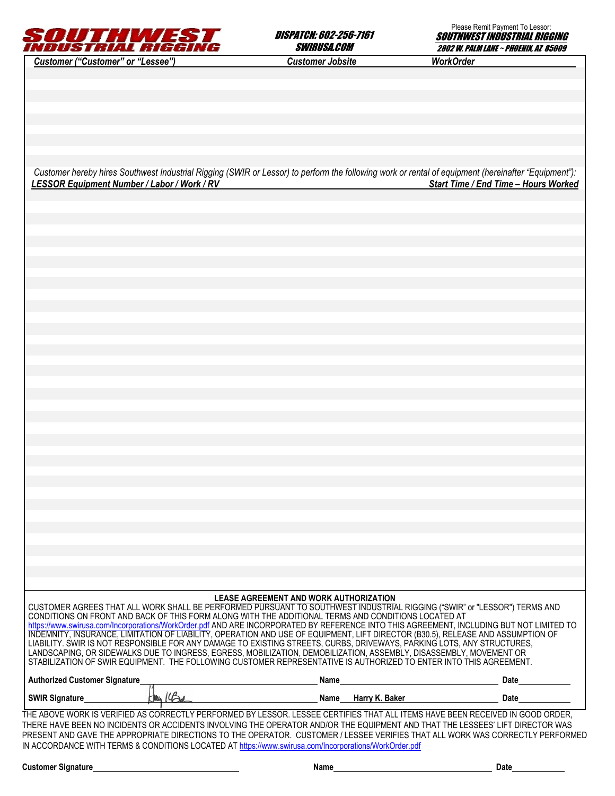

DISPATCH: 602-256-7161 SWIRUSA.COM



*Customer hereby hires Southwest Industrial Rigging (SWIR or Lessor) to perform the following work or rental of equipment (hereinafter "Equipment"): LESSOR Equipment Number / Labor / Work / RV Start Time / End Time – Hours Worked* 

| LEASE AGREEMENT AND WORK AUTHORIZATION |
|----------------------------------------|
|----------------------------------------|

CUSTOMER AGREES THAT ALL WORK SHALL BE PERFORMED PURSUANT TO SOUTHWEST INDUSTRIAL RIGGING ("SWIR" or "LESSOR") TERMS AND CONDITIONS ON FRONT AND BACK OF THIS FORM ALONG WITH THE ADDITIONAL TERMS AND CONDITIONS LOCATED AT https://www.swirusa.com/Incorporations/WorkOrder.pdf AND ARE INCORPORATED BY REFERENCE INTO THIS AGREEMENT, INCLUDING BUT NOT LIMITED TO INDEMNITY, INSURANCE, LIMITATION OF LIABILITY, OPERATION AND USE OF EQUIPMENT, LIFT DIRECTOR (B30.5), RELEASE AND ASSUMPTION OF LIABILITY. SWIR IS NOT RESPONSIBLE FOR ANY DAMAGE TO EXISTING STREETS, CURBS, DRIVEWAYS, PARKING LOTS, ANY STRUCTURES, LANDSCAPING, OR SIDEWALKS DUE TO INGRESS, EGRESS, MOBILIZATION, DEMOBILIZATION, ASSEMBLY, DISASSEMBLY, MOVEMENT OR STABILIZATION OF SWIR EQUIPMENT. THE FOLLOWING CUSTOMER REPRESENTATIVE IS AUTHORIZED TO ENTER INTO THIS AGREEMENT.

| <b>Authorized Customer Signature</b> | Name |                  | Date |
|--------------------------------------|------|------------------|------|
| <b>SWIR Signature</b>                | Name | . Baker<br>Harrv | Date |

THE ABOVE WORK IS VERIFIED AS CORRECTLY PERFORMED BY LESSOR. LESSEE CERTIFIES THAT ALL ITEMS HAVE BEEN RECEIVED IN GOOD ORDER, THERE HAVE BEEN NO INCIDENTS OR ACCIDENTS INVOLVING THE OPERATOR AND/OR THE EQUIPMENT AND THAT THE LESSEES' LIFT DIRECTOR WAS PRESENT AND GAVE THE APPROPRIATE DIRECTIONS TO THE OPERATOR. CUSTOMER / LESSEE VERIFIES THAT ALL WORK WAS CORRECTLY PERFORMED IN ACCORDANCE WITH TERMS & CONDITIONS LOCATED AT https://www.swirusa.com/Incorporations/WorkOrder.pdf